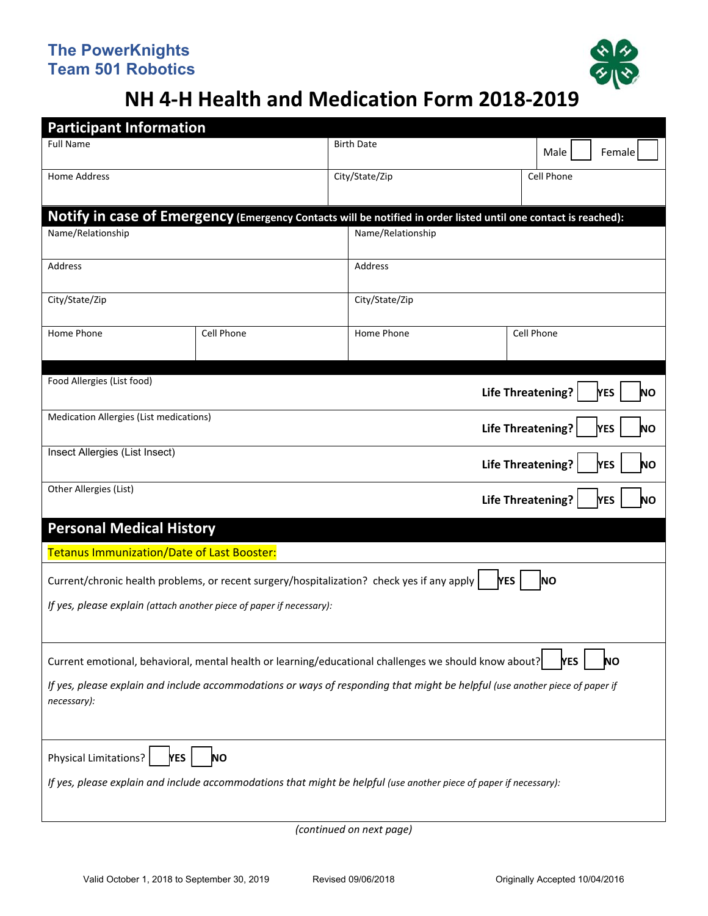

## **NH 4‐H Health and Medication Form 2018-2019**

| <b>Participant Information</b>                                             |            |                                                                                                                              |            |                                              |  |
|----------------------------------------------------------------------------|------------|------------------------------------------------------------------------------------------------------------------------------|------------|----------------------------------------------|--|
| <b>Full Name</b>                                                           |            | <b>Birth Date</b>                                                                                                            |            | Male<br>Female                               |  |
| <b>Home Address</b>                                                        |            | City/State/Zip                                                                                                               |            | Cell Phone                                   |  |
|                                                                            |            | Notify in case of Emergency (Emergency Contacts will be notified in order listed until one contact is reached):              |            |                                              |  |
| Name/Relationship                                                          |            | Name/Relationship                                                                                                            |            |                                              |  |
| Address                                                                    |            | Address                                                                                                                      |            |                                              |  |
| City/State/Zip                                                             |            | City/State/Zip                                                                                                               |            |                                              |  |
| Home Phone                                                                 | Cell Phone | Home Phone                                                                                                                   |            | Cell Phone                                   |  |
| Food Allergies (List food)<br><b>Life Threatening?</b><br>MES<br><b>NO</b> |            |                                                                                                                              |            |                                              |  |
| Medication Allergies (List medications)<br>Life Threatening?<br>YES        |            |                                                                                                                              |            |                                              |  |
| Insect Allergies (List Insect)                                             |            |                                                                                                                              |            | <b>Life Threatening?</b><br><b>YES</b><br>ΝO |  |
| Other Allergies (List)<br><b>Life Threatening?</b>                         |            |                                                                                                                              |            | MES<br>ΝO                                    |  |
| <b>Personal Medical History</b>                                            |            |                                                                                                                              |            |                                              |  |
| <b>Tetanus Immunization/Date of Last Booster:</b>                          |            |                                                                                                                              |            |                                              |  |
|                                                                            |            | Current/chronic health problems, or recent surgery/hospitalization? check yes if any apply                                   | <b>YES</b> | <b>NO</b>                                    |  |
| If yes, please explain (attach another piece of paper if necessary):       |            |                                                                                                                              |            |                                              |  |
|                                                                            |            | Current emotional, behavioral, mental health or learning/educational challenges we should know about?                        |            | <b>YES</b><br>NΟ                             |  |
| necessary):                                                                |            | If yes, please explain and include accommodations or ways of responding that might be helpful (use another piece of paper if |            |                                              |  |
| Physical Limitations?<br><b>YES</b>                                        | ΝO         |                                                                                                                              |            |                                              |  |
|                                                                            |            | If yes, please explain and include accommodations that might be helpful (use another piece of paper if necessary):           |            |                                              |  |
|                                                                            |            | (continued on next page)                                                                                                     |            |                                              |  |